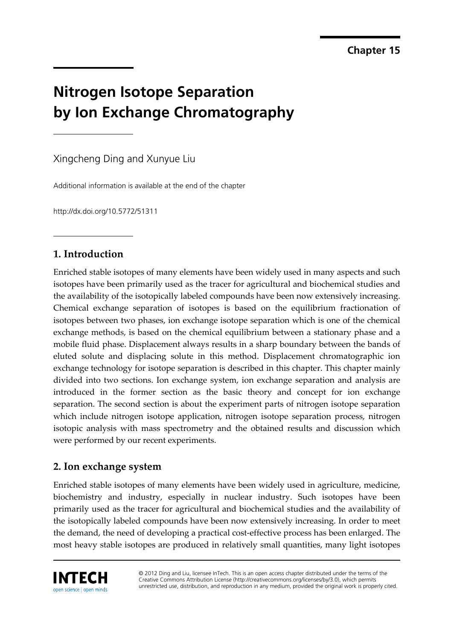# **Nitrogen Isotope Separation by Ion Exchange Chromatography**

Xingcheng Ding and Xunyue Liu

Additional information is available at the end of the chapter

http://dx.doi.org/10.5772/51311

# **1. Introduction**

Enriched stable isotopes of many elements have been widely used in many aspects and such isotopes have been primarily used as the tracer for agricultural and biochemical studies and the availability of the isotopically labeled compounds have been now extensively increasing. Chemical exchange separation of isotopes is based on the equilibrium fractionation of isotopes between two phases, ion exchange isotope separation which is one of the chemical exchange methods, is based on the chemical equilibrium between a stationary phase and a mobile fluid phase. Displacement always results in a sharp boundary between the bands of eluted solute and displacing solute in this method. Displacement chromatographic ion exchange technology for isotope separation is described in this chapter. This chapter mainly divided into two sections. Ion exchange system, ion exchange separation and analysis are introduced in the former section as the basic theory and concept for ion exchange separation. The second section is about the experiment parts of nitrogen isotope separation which include nitrogen isotope application, nitrogen isotope separation process, nitrogen isotopic analysis with mass spectrometry and the obtained results and discussion which were performed by our recent experiments.

# **2. Ion exchange system**

Enriched stable isotopes of many elements have been widely used in agriculture, medicine, biochemistry and industry, especially in nuclear industry. Such isotopes have been primarily used as the tracer for agricultural and biochemical studies and the availability of the isotopically labeled compounds have been now extensively increasing. In order to meet the demand, the need of developing a practical cost-effective process has been enlarged. The most heavy stable isotopes are produced in relatively small quantities, many light isotopes



© 2012 Ding and Liu, licensee InTech. This is an open access chapter distributed under the terms of the Creative Commons Attribution License (http://creativecommons.org/licenses/by/3.0), which permits unrestricted use, distribution, and reproduction in any medium, provided the original work is properly cited.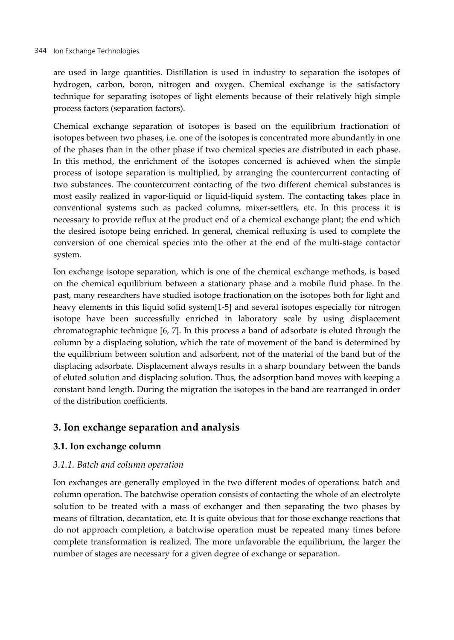are used in large quantities. Distillation is used in industry to separation the isotopes of hydrogen, carbon, boron, nitrogen and oxygen. Chemical exchange is the satisfactory technique for separating isotopes of light elements because of their relatively high simple process factors (separation factors).

Chemical exchange separation of isotopes is based on the equilibrium fractionation of isotopes between two phases, i.e. one of the isotopes is concentrated more abundantly in one of the phases than in the other phase if two chemical species are distributed in each phase. In this method, the enrichment of the isotopes concerned is achieved when the simple process of isotope separation is multiplied, by arranging the countercurrent contacting of two substances. The countercurrent contacting of the two different chemical substances is most easily realized in vapor-liquid or liquid-liquid system. The contacting takes place in conventional systems such as packed columns, mixer-settlers, etc. In this process it is necessary to provide reflux at the product end of a chemical exchange plant; the end which the desired isotope being enriched. In general, chemical refluxing is used to complete the conversion of one chemical species into the other at the end of the multi-stage contactor system.

Ion exchange isotope separation, which is one of the chemical exchange methods, is based on the chemical equilibrium between a stationary phase and a mobile fluid phase. In the past, many researchers have studied isotope fractionation on the isotopes both for light and heavy elements in this liquid solid system[1-5] and several isotopes especially for nitrogen isotope have been successfully enriched in laboratory scale by using displacement chromatographic technique [6, 7]. In this process a band of adsorbate is eluted through the column by a displacing solution, which the rate of movement of the band is determined by the equilibrium between solution and adsorbent, not of the material of the band but of the displacing adsorbate. Displacement always results in a sharp boundary between the bands of eluted solution and displacing solution. Thus, the adsorption band moves with keeping a constant band length. During the migration the isotopes in the band are rearranged in order of the distribution coefficients.

# **3. Ion exchange separation and analysis**

# **3.1. Ion exchange column**

## *3.1.1. Batch and column operation*

Ion exchanges are generally employed in the two different modes of operations: batch and column operation. The batchwise operation consists of contacting the whole of an electrolyte solution to be treated with a mass of exchanger and then separating the two phases by means of filtration, decantation, etc. It is quite obvious that for those exchange reactions that do not approach completion, a batchwise operation must be repeated many times before complete transformation is realized. The more unfavorable the equilibrium, the larger the number of stages are necessary for a given degree of exchange or separation.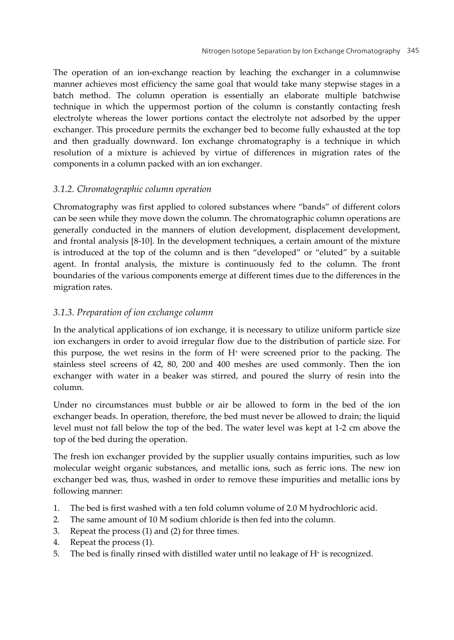The operation of an ion-exchange reaction by leaching the exchanger in a columnwise manner achieves most efficiency the same goal that would take many stepwise stages in a batch method. The column operation is essentially an elaborate multiple batchwise technique in which the uppermost portion of the column is constantly contacting fresh electrolyte whereas the lower portions contact the electrolyte not adsorbed by the upper exchanger. This procedure permits the exchanger bed to become fully exhausted at the top and then gradually downward. Ion exchange chromatography is a technique in which resolution of a mixture is achieved by virtue of differences in migration rates of the components in a column packed with an ion exchanger.

## *3.1.2. Chromatographic column operation*

Chromatography was first applied to colored substances where "bands" of different colors can be seen while they move down the column. The chromatographic column operations are generally conducted in the manners of elution development, displacement development, and frontal analysis [8-10]. In the development techniques, a certain amount of the mixture is introduced at the top of the column and is then "developed" or "eluted" by a suitable agent. In frontal analysis, the mixture is continuously fed to the column. The front boundaries of the various components emerge at different times due to the differences in the migration rates.

#### *3.1.3. Preparation of ion exchange column*

In the analytical applications of ion exchange, it is necessary to utilize uniform particle size ion exchangers in order to avoid irregular flow due to the distribution of particle size. For this purpose, the wet resins in the form of H+ were screened prior to the packing. The stainless steel screens of 42, 80, 200 and 400 meshes are used commonly. Then the ion exchanger with water in a beaker was stirred, and poured the slurry of resin into the column.

Under no circumstances must bubble or air be allowed to form in the bed of the ion exchanger beads. In operation, therefore, the bed must never be allowed to drain; the liquid level must not fall below the top of the bed. The water level was kept at 1-2 cm above the top of the bed during the operation.

The fresh ion exchanger provided by the supplier usually contains impurities, such as low molecular weight organic substances, and metallic ions, such as ferric ions. The new ion exchanger bed was, thus, washed in order to remove these impurities and metallic ions by following manner:

- 1. The bed is first washed with a ten fold column volume of 2.0 M hydrochloric acid.
- 2. The same amount of 10 M sodium chloride is then fed into the column.
- 3. Repeat the process (1) and (2) for three times.
- 4. Repeat the process (1).
- 5. The bed is finally rinsed with distilled water until no leakage of H+ is recognized.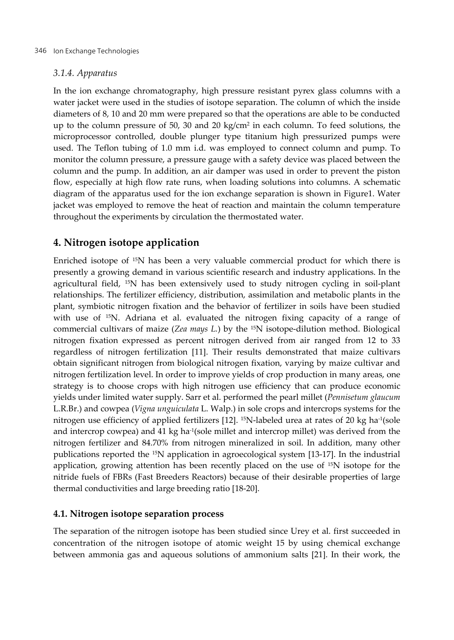## *3.1.4. Apparatus*

In the ion exchange chromatography, high pressure resistant pyrex glass columns with a water jacket were used in the studies of isotope separation. The column of which the inside diameters of 8, 10 and 20 mm were prepared so that the operations are able to be conducted up to the column pressure of 50, 30 and 20 kg/cm2 in each column. To feed solutions, the microprocessor controlled, double plunger type titanium high pressurized pumps were used. The Teflon tubing of 1.0 mm i.d. was employed to connect column and pump. To monitor the column pressure, a pressure gauge with a safety device was placed between the column and the pump. In addition, an air damper was used in order to prevent the piston flow, especially at high flow rate runs, when loading solutions into columns. A schematic diagram of the apparatus used for the ion exchange separation is shown in Figure1. Water jacket was employed to remove the heat of reaction and maintain the column temperature throughout the experiments by circulation the thermostated water.

# **4. Nitrogen isotope application**

Enriched isotope of 15N has been a very valuable commercial product for which there is presently a growing demand in various scientific research and industry applications. In the agricultural field, 15N has been extensively used to study nitrogen cycling in soil-plant relationships. The fertilizer efficiency, distribution, assimilation and metabolic plants in the plant, symbiotic nitrogen fixation and the behavior of fertilizer in soils have been studied with use of 15N. Adriana et al. evaluated the nitrogen fixing capacity of a range of commercial cultivars of maize (*Zea mays L.*) by the 15N isotope-dilution method. Biological nitrogen fixation expressed as percent nitrogen derived from air ranged from 12 to 33 regardless of nitrogen fertilization [11]. Their results demonstrated that maize cultivars obtain significant nitrogen from biological nitrogen fixation, varying by maize cultivar and nitrogen fertilization level. In order to improve yields of crop production in many areas, one strategy is to choose crops with high nitrogen use efficiency that can produce economic yields under limited water supply. Sarr et al. performed the pearl millet (*Pennisetum glaucum*  L.R.Br.) and cowpea (*Vigna unguiculata* L. Walp.) in sole crops and intercrops systems for the nitrogen use efficiency of applied fertilizers  $[12]$ . <sup>15</sup>N-labeled urea at rates of 20 kg ha<sup>-1</sup>(sole and intercrop cowpea) and 41 kg ha<sup>-1</sup>(sole millet and intercrop millet) was derived from the nitrogen fertilizer and 84.70% from nitrogen mineralized in soil. In addition, many other publications reported the 15N application in agroecological system [13-17]. In the industrial application, growing attention has been recently placed on the use of  $15N$  isotope for the nitride fuels of FBRs (Fast Breeders Reactors) because of their desirable properties of large thermal conductivities and large breeding ratio [18-20].

## **4.1. Nitrogen isotope separation process**

The separation of the nitrogen isotope has been studied since Urey et al. first succeeded in concentration of the nitrogen isotope of atomic weight 15 by using chemical exchange between ammonia gas and aqueous solutions of ammonium salts [21]. In their work, the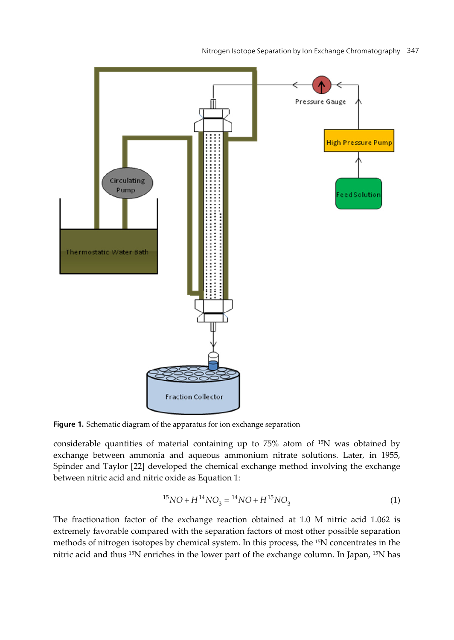



**Figure 1.** Schematic diagram of the apparatus for ion exchange separation

considerable quantities of material containing up to 75% atom of 15N was obtained by exchange between ammonia and aqueous ammonium nitrate solutions. Later, in 1955, Spinder and Taylor [22] developed the chemical exchange method involving the exchange between nitric acid and nitric oxide as Equation 1:

$$
{}^{15}NO + H^{14}NO_3 = {}^{14}NO + H^{15}NO_3 \tag{1}
$$

The fractionation factor of the exchange reaction obtained at 1.0 M nitric acid 1.062 is extremely favorable compared with the separation factors of most other possible separation methods of nitrogen isotopes by chemical system. In this process, the 15N concentrates in the nitric acid and thus 15N enriches in the lower part of the exchange column. In Japan, 15N has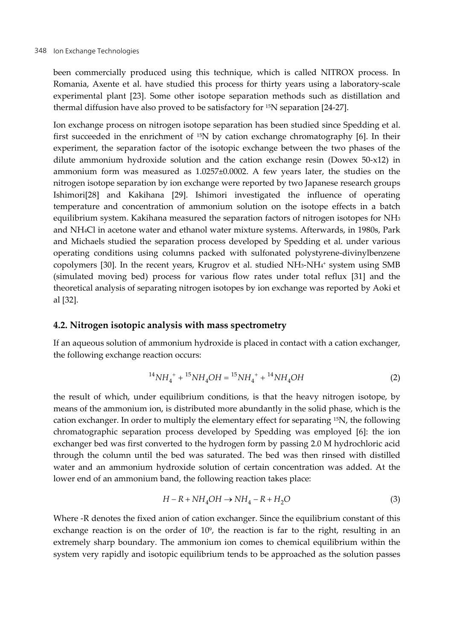been commercially produced using this technique, which is called NITROX process. In Romania, Axente et al. have studied this process for thirty years using a laboratory-scale experimental plant [23]. Some other isotope separation methods such as distillation and thermal diffusion have also proved to be satisfactory for 15N separation [24-27].

Ion exchange process on nitrogen isotope separation has been studied since Spedding et al. first succeeded in the enrichment of 15N by cation exchange chromatography [6]. In their experiment, the separation factor of the isotopic exchange between the two phases of the dilute ammonium hydroxide solution and the cation exchange resin (Dowex 50-x12) in ammonium form was measured as 1.0257±0.0002. A few years later, the studies on the nitrogen isotope separation by ion exchange were reported by two Japanese research groups Ishimori[28] and Kakihana [29]. Ishimori investigated the influence of operating temperature and concentration of ammonium solution on the isotope effects in a batch equilibrium system. Kakihana measured the separation factors of nitrogen isotopes for NH3 and NH4Cl in acetone water and ethanol water mixture systems. Afterwards, in 1980s, Park and Michaels studied the separation process developed by Spedding et al. under various operating conditions using columns packed with sulfonated polystyrene-divinylbenzene copolymers [30]. In the recent years, Krugrov et al. studied  $NH<sub>3</sub>-NH<sub>4</sub>$  system using SMB (simulated moving bed) process for various flow rates under total reflux [31] and the theoretical analysis of separating nitrogen isotopes by ion exchange was reported by Aoki et al [32].

## **4.2. Nitrogen isotopic analysis with mass spectrometry**

If an aqueous solution of ammonium hydroxide is placed in contact with a cation exchanger, the following exchange reaction occurs:

$$
{}^{14}NH_4^{\ +} + {}^{15}NH_4OH = {}^{15}NH_4^{\ +} + {}^{14}NH_4OH
$$
 (2)

the result of which, under equilibrium conditions, is that the heavy nitrogen isotope, by means of the ammonium ion, is distributed more abundantly in the solid phase, which is the cation exchanger. In order to multiply the elementary effect for separating 15N, the following chromatographic separation process developed by Spedding was employed [6]: the ion exchanger bed was first converted to the hydrogen form by passing 2.0 M hydrochloric acid through the column until the bed was saturated. The bed was then rinsed with distilled water and an ammonium hydroxide solution of certain concentration was added. At the lower end of an ammonium band, the following reaction takes place:

$$
H - R + NH_4OH \rightarrow NH_4 - R + H_2O
$$
\n<sup>(3)</sup>

Where -R denotes the fixed anion of cation exchanger. Since the equilibrium constant of this exchange reaction is on the order of 109, the reaction is far to the right, resulting in an extremely sharp boundary. The ammonium ion comes to chemical equilibrium within the system very rapidly and isotopic equilibrium tends to be approached as the solution passes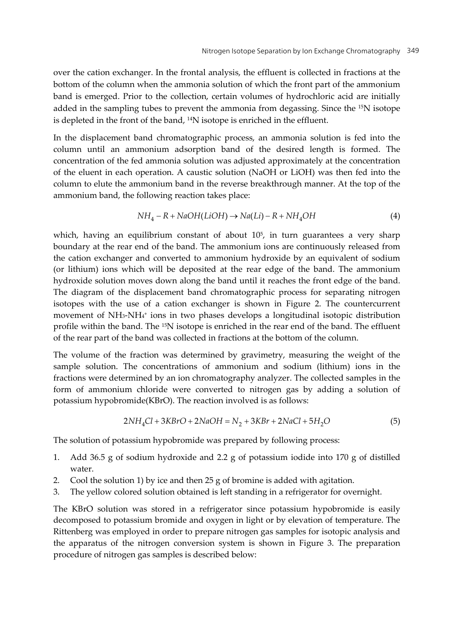over the cation exchanger. In the frontal analysis, the effluent is collected in fractions at the bottom of the column when the ammonia solution of which the front part of the ammonium band is emerged. Prior to the collection, certain volumes of hydrochloric acid are initially added in the sampling tubes to prevent the ammonia from degassing. Since the 15N isotope is depleted in the front of the band, 14N isotope is enriched in the effluent.

In the displacement band chromatographic process, an ammonia solution is fed into the column until an ammonium adsorption band of the desired length is formed. The concentration of the fed ammonia solution was adjusted approximately at the concentration of the eluent in each operation. A caustic solution (NaOH or LiOH) was then fed into the column to elute the ammonium band in the reverse breakthrough manner. At the top of the ammonium band, the following reaction takes place:

$$
NH_4 - R + NaOH(LiOH) \rightarrow Na(Li) - R + NH_4OH
$$
 (4)

which, having an equilibrium constant of about 10<sup>5</sup>, in turn guarantees a very sharp boundary at the rear end of the band. The ammonium ions are continuously released from the cation exchanger and converted to ammonium hydroxide by an equivalent of sodium (or lithium) ions which will be deposited at the rear edge of the band. The ammonium hydroxide solution moves down along the band until it reaches the front edge of the band. The diagram of the displacement band chromatographic process for separating nitrogen isotopes with the use of a cation exchanger is shown in Figure 2. The countercurrent movement of NH3-NH4+ ions in two phases develops a longitudinal isotopic distribution profile within the band. The 15N isotope is enriched in the rear end of the band. The effluent of the rear part of the band was collected in fractions at the bottom of the column.

The volume of the fraction was determined by gravimetry, measuring the weight of the sample solution. The concentrations of ammonium and sodium (lithium) ions in the fractions were determined by an ion chromatography analyzer. The collected samples in the form of ammonium chloride were converted to nitrogen gas by adding a solution of potassium hypobromide(KBrO). The reaction involved is as follows:

$$
2NH_4Cl + 3KBrO + 2NaOH = N_2 + 3KBr + 2NaCl + 5H_2O
$$
\n(5)

The solution of potassium hypobromide was prepared by following process:

- 1. Add 36.5 g of sodium hydroxide and 2.2 g of potassium iodide into 170 g of distilled water.
- 2. Cool the solution 1) by ice and then 25 g of bromine is added with agitation.
- 3. The yellow colored solution obtained is left standing in a refrigerator for overnight.

The KBrO solution was stored in a refrigerator since potassium hypobromide is easily decomposed to potassium bromide and oxygen in light or by elevation of temperature. The Rittenberg was employed in order to prepare nitrogen gas samples for isotopic analysis and the apparatus of the nitrogen conversion system is shown in Figure 3. The preparation procedure of nitrogen gas samples is described below: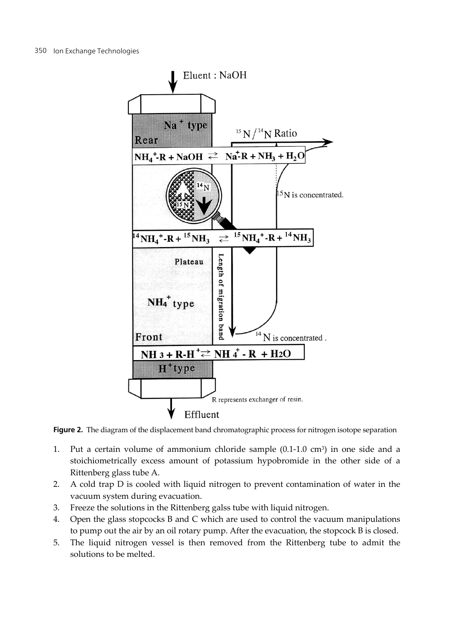

Figure 2. The diagram of the displacement band chromatographic process for nitrogen isotope separation

- 1. Put a certain volume of ammonium chloride sample  $(0.1-1.0 \text{ cm}^3)$  in one side and a stoichiometrically excess amount of potassium hypobromide in the other side of a Rittenberg glass tube A.
- 2. A cold trap D is cooled with liquid nitrogen to prevent contamination of water in the vacuum system during evacuation.
- 3. Freeze the solutions in the Rittenberg galss tube with liquid nitrogen.
- 4. Open the glass stopcocks B and C which are used to control the vacuum manipulations to pump out the air by an oil rotary pump. After the evacuation, the stopcock B is closed.
- 5. The liquid nitrogen vessel is then removed from the Rittenberg tube to admit the solutions to be melted.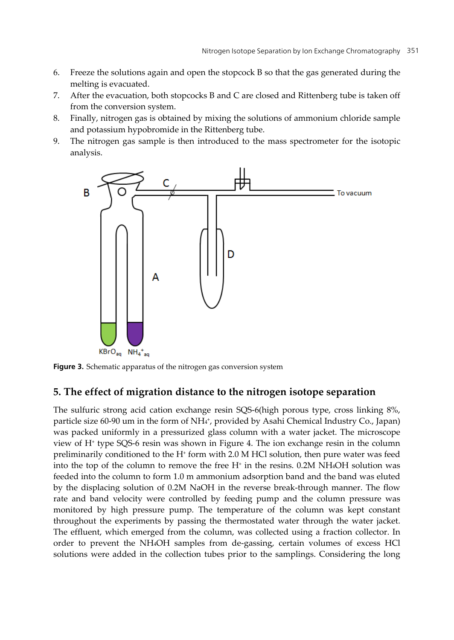- 6. Freeze the solutions again and open the stopcock B so that the gas generated during the melting is evacuated.
- 7. After the evacuation, both stopcocks B and C are closed and Rittenberg tube is taken off from the conversion system.
- 8. Finally, nitrogen gas is obtained by mixing the solutions of ammonium chloride sample and potassium hypobromide in the Rittenberg tube.
- 9. The nitrogen gas sample is then introduced to the mass spectrometer for the isotopic analysis.



**Figure 3.** Schematic apparatus of the nitrogen gas conversion system

## **5. The effect of migration distance to the nitrogen isotope separation**

The sulfuric strong acid cation exchange resin SQS-6(high porous type, cross linking 8%, particle size 60-90 um in the form of NH<sub>4</sub>+, provided by Asahi Chemical Industry Co., Japan) was packed uniformly in a pressurized glass column with a water jacket. The microscope view of H+ type SQS-6 resin was shown in Figure 4. The ion exchange resin in the column preliminarily conditioned to the H<sup>+</sup> form with 2.0 M HCl solution, then pure water was feed into the top of the column to remove the free  $H<sup>+</sup>$  in the resins. 0.2M NH<sub>4</sub>OH solution was feeded into the column to form 1.0 m ammonium adsorption band and the band was eluted by the displacing solution of 0.2M NaOH in the reverse break-through manner. The flow rate and band velocity were controlled by feeding pump and the column pressure was monitored by high pressure pump. The temperature of the column was kept constant throughout the experiments by passing the thermostated water through the water jacket. The effluent, which emerged from the column, was collected using a fraction collector. In order to prevent the NH4OH samples from de-gassing, certain volumes of excess HCl solutions were added in the collection tubes prior to the samplings. Considering the long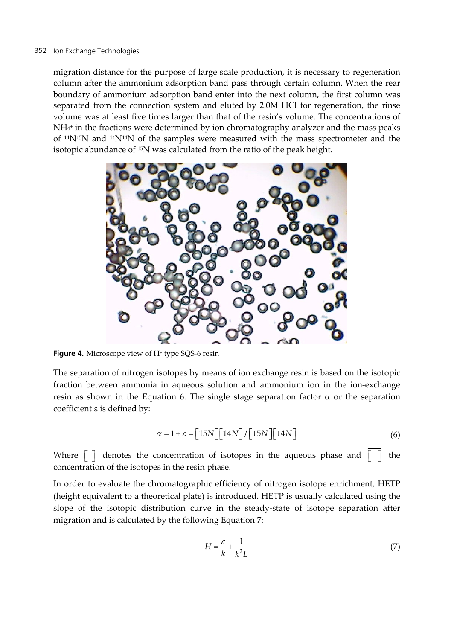migration distance for the purpose of large scale production, it is necessary to regeneration column after the ammonium adsorption band pass through certain column. When the rear boundary of ammonium adsorption band enter into the next column, the first column was separated from the connection system and eluted by 2.0M HCl for regeneration, the rinse volume was at least five times larger than that of the resin's volume. The concentrations of  $NH<sub>4</sub><sup>+</sup>$  in the fractions were determined by ion chromatography analyzer and the mass peaks of 14N15N and 14N14N of the samples were measured with the mass spectrometer and the isotopic abundance of 15N was calculated from the ratio of the peak height.



Figure 4. Microscope view of H<sup>+</sup> type SQS-6 resin

The separation of nitrogen isotopes by means of ion exchange resin is based on the isotopic fraction between ammonia in aqueous solution and ammonium ion in the ion-exchange resin as shown in the Equation 6. The single stage separation factor  $\alpha$  or the separation coefficient  $\varepsilon$  is defined by:

$$
\alpha = 1 + \varepsilon = \boxed{15N} \boxed{14N} / \boxed{15N} \boxed{14N} \tag{6}
$$

Where  $\|\cdot\|$  denotes the concentration of isotopes in the aqueous phase and  $\lceil \cdot \rceil$  the concentration of the isotopes in the resin phase.

In order to evaluate the chromatographic efficiency of nitrogen isotope enrichment, HETP (height equivalent to a theoretical plate) is introduced. HETP is usually calculated using the slope of the isotopic distribution curve in the steady-state of isotope separation after migration and is calculated by the following Equation 7:

$$
H = \frac{\varepsilon}{k} + \frac{1}{k^2 L} \tag{7}
$$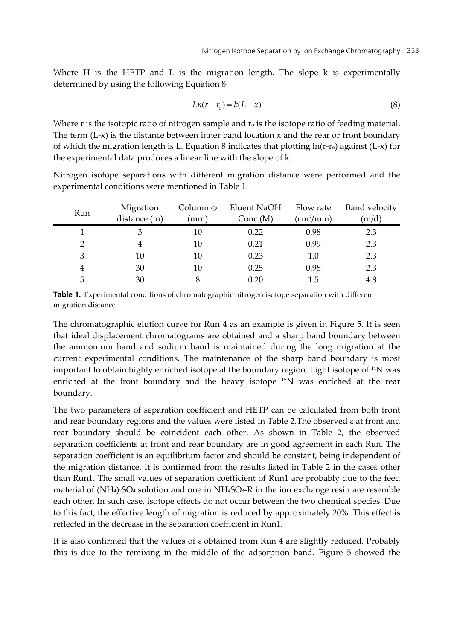Where H is the HETP and L is the migration length. The slope  $k$  is experimentally determined by using the following Equation 8:

$$
Ln(r - ro) = k(L - x)
$$
\n(8)

Where r is the isotopic ratio of nitrogen sample and r<sub>o</sub> is the isotope ratio of feeding material. The term  $(L-x)$  is the distance between inner band location  $x$  and the rear or front boundary of which the migration length is L. Equation 8 indicates that plotting  $ln(r-r_0)$  against (L-x) for the experimental data produces a linear line with the slope of k.

Nitrogen isotope separations with different migration distance were performed and the experimental conditions were mentioned in Table 1.

|               | Migration    | Column $\phi$ | Eluent NaOH | Flow rate                  | Band velocity |
|---------------|--------------|---------------|-------------|----------------------------|---------------|
| Run           | distance (m) | (mm)          | Conc.(M)    | $\text{(cm}^3\text{/min)}$ | (m/d)         |
|               | 3            | 10            | 0.22        | 0.98                       | 2.3           |
| $\mathcal{D}$ | 4            | 10            | 0.21        | 0.99                       | 2.3           |
| 3             | 10           | 10            | 0.23        | 1.0                        | 2.3           |
| 4             | 30           | 10            | 0.25        | 0.98                       | 2.3           |
| 5             | 30           | 8             | 0.20        | 1.5                        | 4.8           |

**Table 1.** Experimental conditions of chromatographic nitrogen isotope separation with different migration distance

The chromatographic elution curve for Run 4 as an example is given in Figure 5. It is seen that ideal displacement chromatograms are obtained and a sharp band boundary between the ammonium band and sodium band is maintained during the long migration at the current experimental conditions. The maintenance of the sharp band boundary is most important to obtain highly enriched isotope at the boundary region. Light isotope of 14N was enriched at the front boundary and the heavy isotope 15N was enriched at the rear boundary.

The two parameters of separation coefficient and HETP can be calculated from both front and rear boundary regions and the values were listed in Table 2. The observed  $\varepsilon$  at front and rear boundary should be coincident each other. As shown in Table 2, the observed separation coefficients at front and rear boundary are in good agreement in each Run. The separation coefficient is an equilibrium factor and should be constant, being independent of the migration distance. It is confirmed from the results listed in Table 2 in the cases other than Run1. The small values of separation coefficient of Run1 are probably due to the feed material of  $(NH<sub>4</sub>)<sub>2</sub>SO<sub>4</sub>$  solution and one in  $NH<sub>4</sub>SO<sub>3</sub>-R$  in the ion exchange resin are resemble each other. In such case, isotope effects do not occur between the two chemical species. Due to this fact, the effective length of migration is reduced by approximately 20%. This effect is reflected in the decrease in the separation coefficient in Run1.

It is also confirmed that the values of  $\varepsilon$  obtained from Run 4 are slightly reduced. Probably this is due to the remixing in the middle of the adsorption band. Figure 5 showed the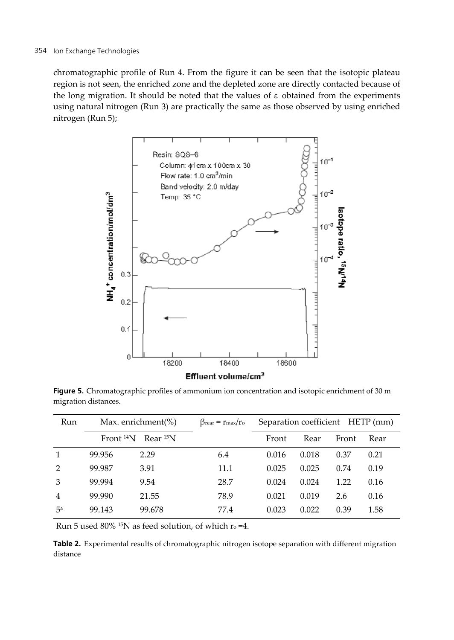chromatographic profile of Run 4. From the figure it can be seen that the isotopic plateau region is not seen, the enriched zone and the depleted zone are directly contacted because of the long migration. It should be noted that the values of  $\varepsilon$  obtained from the experiments using natural nitrogen (Run 3) are practically the same as those observed by using enriched nitrogen (Run 5);



**Figure 5.** Chromatographic profiles of ammonium ion concentration and isotopic enrichment of 30 m migration distances.

| Run            |             | Max. enrichment $(\%)$ | $\beta$ rear = $r_{\rm max}/r_{\rm o}$ | Separation coefficient HETP (mm) |       |       |      |
|----------------|-------------|------------------------|----------------------------------------|----------------------------------|-------|-------|------|
|                | Front $14N$ | Rear <sup>15</sup> N   |                                        | Front                            | Rear  | Front | Rear |
|                | 99.956      | 2.29                   | 6.4                                    | 0.016                            | 0.018 | 0.37  | 0.21 |
| 2              | 99.987      | 3.91                   | 11.1                                   | 0.025                            | 0.025 | 0.74  | 0.19 |
| 3              | 99.994      | 9.54                   | 28.7                                   | 0.024                            | 0.024 | 1.22  | 0.16 |
| $\overline{4}$ | 99.990      | 21.55                  | 78.9                                   | 0.021                            | 0.019 | 2.6   | 0.16 |
| 5 <sup>a</sup> | 99.143      | 99.678                 | 77.4                                   | 0.023                            | 0.022 | 0.39  | 1.58 |

Run 5 used  $80\%$  <sup>15</sup>N as feed solution, of which r<sub>o</sub> =4.

**Table 2.** Experimental results of chromatographic nitrogen isotope separation with different migration distance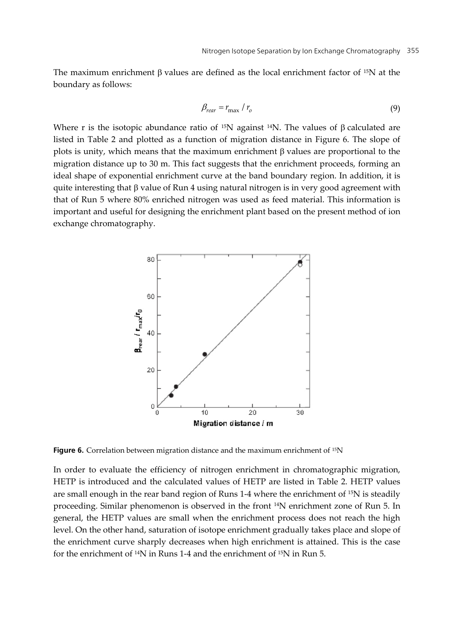The maximum enrichment  $\beta$  values are defined as the local enrichment factor of <sup>15</sup>N at the boundary as follows:

$$
\beta_{\text{rear}} = r_{\text{max}} / r_o \tag{9}
$$

Where r is the isotopic abundance ratio of <sup>15</sup>N against <sup>14</sup>N. The values of  $\beta$  calculated are listed in Table 2 and plotted as a function of migration distance in Figure 6. The slope of plots is unity, which means that the maximum enrichment  $\beta$  values are proportional to the migration distance up to 30 m. This fact suggests that the enrichment proceeds, forming an ideal shape of exponential enrichment curve at the band boundary region. In addition, it is quite interesting that  $\beta$  value of Run 4 using natural nitrogen is in very good agreement with that of Run 5 where 80% enriched nitrogen was used as feed material. This information is important and useful for designing the enrichment plant based on the present method of ion exchange chromatography.



**Figure 6.** Correlation between migration distance and the maximum enrichment of <sup>15</sup>N

In order to evaluate the efficiency of nitrogen enrichment in chromatographic migration, HETP is introduced and the calculated values of HETP are listed in Table 2. HETP values are small enough in the rear band region of Runs 1-4 where the enrichment of 15N is steadily proceeding. Similar phenomenon is observed in the front 14N enrichment zone of Run 5. In general, the HETP values are small when the enrichment process does not reach the high level. On the other hand, saturation of isotope enrichment gradually takes place and slope of the enrichment curve sharply decreases when high enrichment is attained. This is the case for the enrichment of 14N in Runs 1-4 and the enrichment of 15N in Run 5.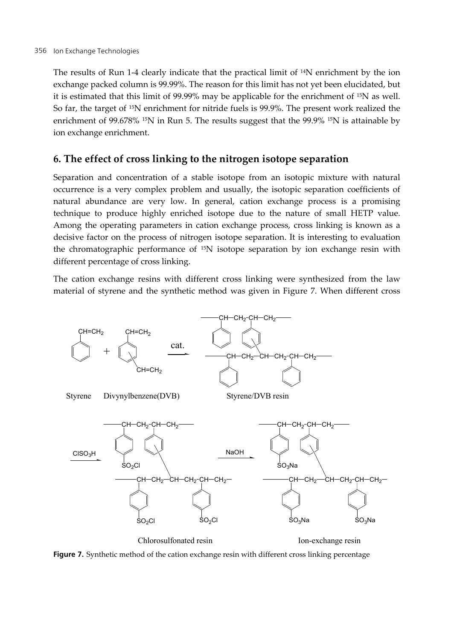The results of Run 1-4 clearly indicate that the practical limit of  $14N$  enrichment by the ion exchange packed column is 99.99%. The reason for this limit has not yet been elucidated, but it is estimated that this limit of 99.99% may be applicable for the enrichment of 15N as well. So far, the target of 15N enrichment for nitride fuels is 99.9%. The present work realized the enrichment of 99.678% <sup>15</sup>N in Run 5. The results suggest that the 99.9% <sup>15</sup>N is attainable by ion exchange enrichment.

# **6. The effect of cross linking to the nitrogen isotope separation**

Separation and concentration of a stable isotope from an isotopic mixture with natural occurrence is a very complex problem and usually, the isotopic separation coefficients of natural abundance are very low. In general, cation exchange process is a promising technique to produce highly enriched isotope due to the nature of small HETP value. Among the operating parameters in cation exchange process, cross linking is known as a decisive factor on the process of nitrogen isotope separation. It is interesting to evaluation the chromatographic performance of  $15N$  isotope separation by ion exchange resin with different percentage of cross linking.

The cation exchange resins with different cross linking were synthesized from the law material of styrene and the synthetic method was given in Figure 7. When different cross



**Figure 7.** Synthetic method of the cation exchange resin with different cross linking percentage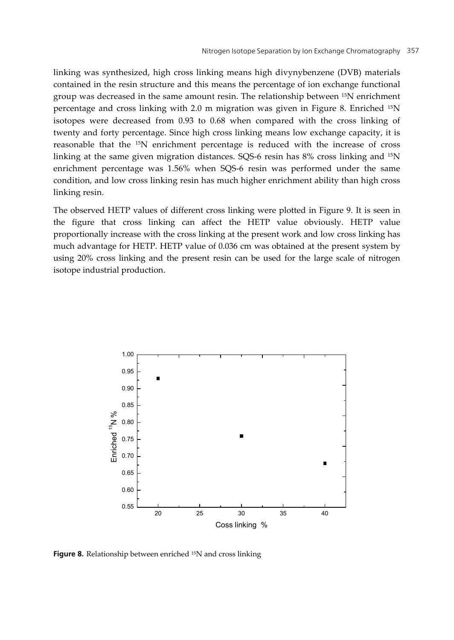linking was synthesized, high cross linking means high divynybenzene (DVB) materials contained in the resin structure and this means the percentage of ion exchange functional group was decreased in the same amount resin. The relationship between 15N enrichment percentage and cross linking with 2.0 m migration was given in Figure 8. Enriched 15N isotopes were decreased from 0.93 to 0.68 when compared with the cross linking of twenty and forty percentage. Since high cross linking means low exchange capacity, it is reasonable that the 15N enrichment percentage is reduced with the increase of cross linking at the same given migration distances. SQS-6 resin has 8% cross linking and 15N enrichment percentage was 1.56% when SQS-6 resin was performed under the same condition, and low cross linking resin has much higher enrichment ability than high cross linking resin.

The observed HETP values of different cross linking were plotted in Figure 9. It is seen in the figure that cross linking can affect the HETP value obviously. HETP value proportionally increase with the cross linking at the present work and low cross linking has much advantage for HETP. HETP value of 0.036 cm was obtained at the present system by using 20% cross linking and the present resin can be used for the large scale of nitrogen isotope industrial production.



**Figure 8.** Relationship between enriched 15N and cross linking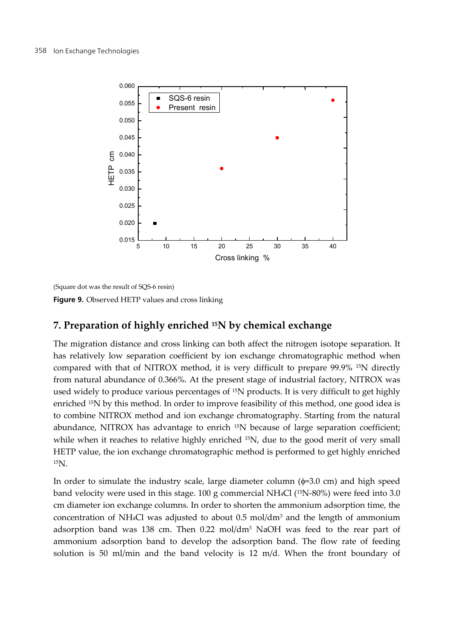

(Square dot was the result of SQS-6 resin)

**Figure 9.** Observed HETP values and cross linking

# **7. Preparation of highly enriched 15N by chemical exchange**

The migration distance and cross linking can both affect the nitrogen isotope separation. It has relatively low separation coefficient by ion exchange chromatographic method when compared with that of NITROX method, it is very difficult to prepare 99.9% 15N directly from natural abundance of 0.366%. At the present stage of industrial factory, NITROX was used widely to produce various percentages of 15N products. It is very difficult to get highly enriched 15N by this method. In order to improve feasibility of this method, one good idea is to combine NITROX method and ion exchange chromatography. Starting from the natural abundance, NITROX has advantage to enrich  $15N$  because of large separation coefficient; while when it reaches to relative highly enriched <sup>15</sup>N, due to the good merit of very small HETP value, the ion exchange chromatographic method is performed to get highly enriched 15N.

In order to simulate the industry scale, large diameter column  $(\phi=3.0 \text{ cm})$  and high speed band velocity were used in this stage. 100 g commercial NH4Cl (15N-80%) were feed into 3.0 cm diameter ion exchange columns. In order to shorten the ammonium adsorption time, the concentration of NH4Cl was adjusted to about 0.5 mol/dm3 and the length of ammonium adsorption band was 138 cm. Then 0.22 mol/dm3 NaOH was feed to the rear part of ammonium adsorption band to develop the adsorption band. The flow rate of feeding solution is 50 ml/min and the band velocity is 12 m/d. When the front boundary of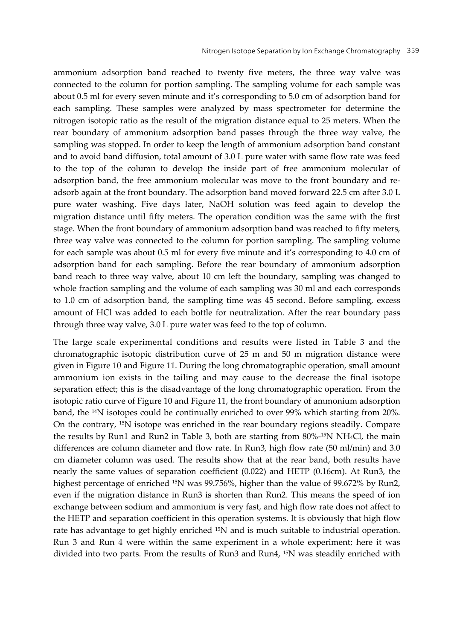ammonium adsorption band reached to twenty five meters, the three way valve was connected to the column for portion sampling. The sampling volume for each sample was about 0.5 ml for every seven minute and it's corresponding to 5.0 cm of adsorption band for each sampling. These samples were analyzed by mass spectrometer for determine the nitrogen isotopic ratio as the result of the migration distance equal to 25 meters. When the rear boundary of ammonium adsorption band passes through the three way valve, the sampling was stopped. In order to keep the length of ammonium adsorption band constant and to avoid band diffusion, total amount of 3.0 L pure water with same flow rate was feed to the top of the column to develop the inside part of free ammonium molecular of adsorption band, the free ammonium molecular was move to the front boundary and readsorb again at the front boundary. The adsorption band moved forward 22.5 cm after 3.0 L pure water washing. Five days later, NaOH solution was feed again to develop the migration distance until fifty meters. The operation condition was the same with the first stage. When the front boundary of ammonium adsorption band was reached to fifty meters, three way valve was connected to the column for portion sampling. The sampling volume for each sample was about 0.5 ml for every five minute and it's corresponding to 4.0 cm of adsorption band for each sampling. Before the rear boundary of ammonium adsorption band reach to three way valve, about 10 cm left the boundary, sampling was changed to whole fraction sampling and the volume of each sampling was 30 ml and each corresponds to 1.0 cm of adsorption band, the sampling time was 45 second. Before sampling, excess amount of HCl was added to each bottle for neutralization. After the rear boundary pass through three way valve, 3.0 L pure water was feed to the top of column.

The large scale experimental conditions and results were listed in Table 3 and the chromatographic isotopic distribution curve of 25 m and 50 m migration distance were given in Figure 10 and Figure 11. During the long chromatographic operation, small amount ammonium ion exists in the tailing and may cause to the decrease the final isotope separation effect; this is the disadvantage of the long chromatographic operation. From the isotopic ratio curve of Figure 10 and Figure 11, the front boundary of ammonium adsorption band, the 14N isotopes could be continually enriched to over 99% which starting from 20%. On the contrary, 15N isotope was enriched in the rear boundary regions steadily. Compare the results by Run1 and Run2 in Table 3, both are starting from 80%-15N NH4Cl, the main differences are column diameter and flow rate. In Run3, high flow rate (50 ml/min) and 3.0 cm diameter column was used. The results show that at the rear band, both results have nearly the same values of separation coefficient (0.022) and HETP (0.16cm). At Run3, the highest percentage of enriched <sup>15</sup>N was 99.756%, higher than the value of 99.672% by Run2, even if the migration distance in Run3 is shorten than Run2. This means the speed of ion exchange between sodium and ammonium is very fast, and high flow rate does not affect to the HETP and separation coefficient in this operation systems. It is obviously that high flow rate has advantage to get highly enriched 15N and is much suitable to industrial operation. Run 3 and Run 4 were within the same experiment in a whole experiment; here it was divided into two parts. From the results of Run3 and Run4, 15N was steadily enriched with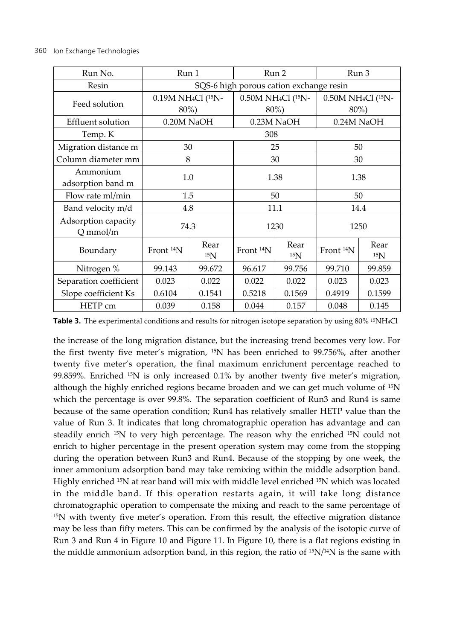| 360 Ion Exchange Technologies |  |
|-------------------------------|--|
|-------------------------------|--|

| Run No.                           | Run 1                                       |                         | Run 2                                       |                         | Run 3                                       |                         |  |
|-----------------------------------|---------------------------------------------|-------------------------|---------------------------------------------|-------------------------|---------------------------------------------|-------------------------|--|
| Resin                             | SQS-6 high porous cation exchange resin     |                         |                                             |                         |                                             |                         |  |
| Feed solution                     | 0.19M NH <sub>4</sub> Cl ( <sup>15</sup> N- |                         | 0.50M NH <sub>4</sub> Cl ( <sup>15</sup> N- |                         | 0.50M NH <sub>4</sub> Cl ( <sup>15</sup> N- |                         |  |
|                                   | $80\%)$                                     |                         | $80\%)$                                     |                         | $80\%)$                                     |                         |  |
| Effluent solution                 |                                             | 0.20M NaOH              | 0.23M NaOH                                  |                         | 0.24M NaOH                                  |                         |  |
| Temp. K                           | 308                                         |                         |                                             |                         |                                             |                         |  |
| Migration distance m              | 30                                          |                         | 25                                          |                         | 50                                          |                         |  |
| Column diameter mm                | 8                                           |                         | 30                                          |                         | 30                                          |                         |  |
| Ammonium<br>adsorption band m     | 1.0                                         |                         | 1.38                                        |                         | 1.38                                        |                         |  |
| Flow rate ml/min                  | 1.5                                         |                         | 50                                          |                         | 50                                          |                         |  |
| Band velocity m/d                 | 4.8                                         |                         | 11.1                                        |                         | 14.4                                        |                         |  |
| Adsorption capacity<br>$Q$ mmol/m |                                             | 74.3<br>1230            |                                             |                         | 1250                                        |                         |  |
| Boundary                          | Front $14N$                                 | Rear<br>15 <sub>N</sub> | Front <sup>14</sup> N                       | Rear<br>15 <sub>N</sub> | Front <sup>14</sup> N                       | Rear<br>15 <sub>N</sub> |  |
| Nitrogen %                        | 99.143                                      | 99.672                  | 96.617                                      | 99.756                  | 99.710                                      | 99.859                  |  |
| Separation coefficient            | 0.023                                       | 0.022                   | 0.022                                       | 0.022                   | 0.023                                       | 0.023                   |  |
| Slope coefficient Ks              | 0.6104                                      | 0.1541                  | 0.5218                                      | 0.1569                  | 0.4919                                      | 0.1599                  |  |
| HETP cm                           | 0.039                                       | 0.158                   | 0.044                                       | 0.157                   | 0.048                                       | 0.145                   |  |

**Table 3.** The experimental conditions and results for nitrogen isotope separation by using 80% 15NH4Cl

the increase of the long migration distance, but the increasing trend becomes very low. For the first twenty five meter's migration, 15N has been enriched to 99.756%, after another twenty five meter's operation, the final maximum enrichment percentage reached to 99.859%. Enriched  $15N$  is only increased 0.1% by another twenty five meter's migration, although the highly enriched regions became broaden and we can get much volume of 15N which the percentage is over 99.8%. The separation coefficient of Run3 and Run4 is same because of the same operation condition; Run4 has relatively smaller HETP value than the value of Run 3. It indicates that long chromatographic operation has advantage and can steadily enrich 15N to very high percentage. The reason why the enriched 15N could not enrich to higher percentage in the present operation system may come from the stopping during the operation between Run3 and Run4. Because of the stopping by one week, the inner ammonium adsorption band may take remixing within the middle adsorption band. Highly enriched 15N at rear band will mix with middle level enriched 15N which was located in the middle band. If this operation restarts again, it will take long distance chromatographic operation to compensate the mixing and reach to the same percentage of <sup>15</sup>N with twenty five meter's operation. From this result, the effective migration distance may be less than fifty meters. This can be confirmed by the analysis of the isotopic curve of Run 3 and Run 4 in Figure 10 and Figure 11. In Figure 10, there is a flat regions existing in the middle ammonium adsorption band, in this region, the ratio of  $15N/14N$  is the same with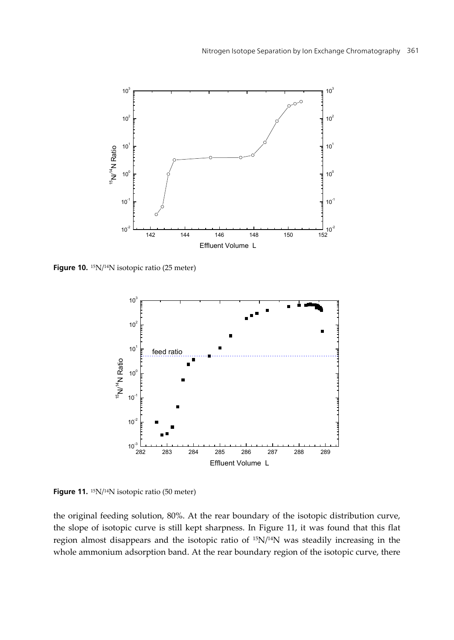

**Figure 10.** 15N/14N isotopic ratio (25 meter)



**Figure 11.** 15N/14N isotopic ratio (50 meter)

the original feeding solution, 80%. At the rear boundary of the isotopic distribution curve, the slope of isotopic curve is still kept sharpness. In Figure 11, it was found that this flat region almost disappears and the isotopic ratio of 15N/14N was steadily increasing in the whole ammonium adsorption band. At the rear boundary region of the isotopic curve, there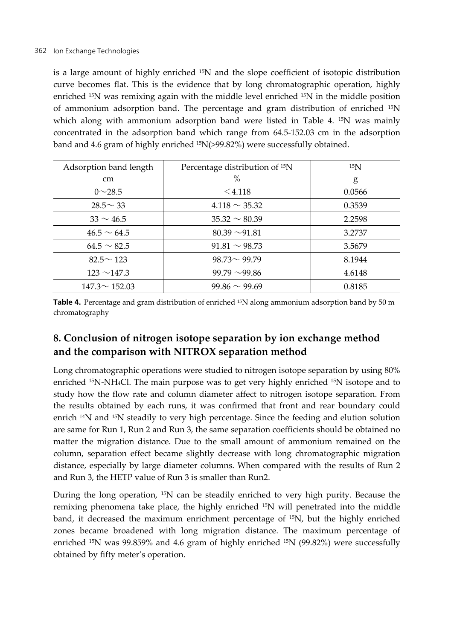is a large amount of highly enriched 15N and the slope coefficient of isotopic distribution curve becomes flat. This is the evidence that by long chromatographic operation, highly enriched 15N was remixing again with the middle level enriched 15N in the middle position of ammonium adsorption band. The percentage and gram distribution of enriched 15N which along with ammonium adsorption band were listed in Table 4. 15N was mainly concentrated in the adsorption band which range from 64.5-152.03 cm in the adsorption band and 4.6 gram of highly enriched 15N(>99.82%) were successfully obtained.

| Adsorption band length | Percentage distribution of <sup>15</sup> N | 15 <sub>N</sub> |
|------------------------|--------------------------------------------|-----------------|
| <sub>cm</sub>          | $\%$                                       | g               |
| $0 \sim 28.5$          | $<$ 4.118                                  | 0.0566          |
| $28.5 \sim 33$         | $4.118 \sim 35.32$                         | 0.3539          |
| $33 \sim 46.5$         | $35.32 \sim 80.39$                         | 2.2598          |
| $46.5 \sim 64.5$       | $80.39 \sim 91.81$                         | 3.2737          |
| $64.5 \sim 82.5$       | $91.81 \sim 98.73$                         | 3.5679          |
| $82.5 \sim 123$        | $98.73 \sim 99.79$                         | 8.1944          |
| $123 \sim 147.3$       | $99.79 \sim 99.86$                         | 4.6148          |
| $147.3 \sim 152.03$    | $99.86 \sim 99.69$                         | 0.8185          |

**Table 4.** Percentage and gram distribution of enriched <sup>15</sup>N along ammonium adsorption band by 50 m chromatography

# **8. Conclusion of nitrogen isotope separation by ion exchange method and the comparison with NITROX separation method**

Long chromatographic operations were studied to nitrogen isotope separation by using 80% enriched 15N-NH4Cl. The main purpose was to get very highly enriched 15N isotope and to study how the flow rate and column diameter affect to nitrogen isotope separation. From the results obtained by each runs, it was confirmed that front and rear boundary could enrich 14N and 15N steadily to very high percentage. Since the feeding and elution solution are same for Run 1, Run 2 and Run 3, the same separation coefficients should be obtained no matter the migration distance. Due to the small amount of ammonium remained on the column, separation effect became slightly decrease with long chromatographic migration distance, especially by large diameter columns. When compared with the results of Run 2 and Run 3, the HETP value of Run 3 is smaller than Run2.

During the long operation, 15N can be steadily enriched to very high purity. Because the remixing phenomena take place, the highly enriched 15N will penetrated into the middle band, it decreased the maximum enrichment percentage of 15N, but the highly enriched zones became broadened with long migration distance. The maximum percentage of enriched <sup>15</sup>N was 99.859% and 4.6 gram of highly enriched <sup>15</sup>N (99.82%) were successfully obtained by fifty meter's operation.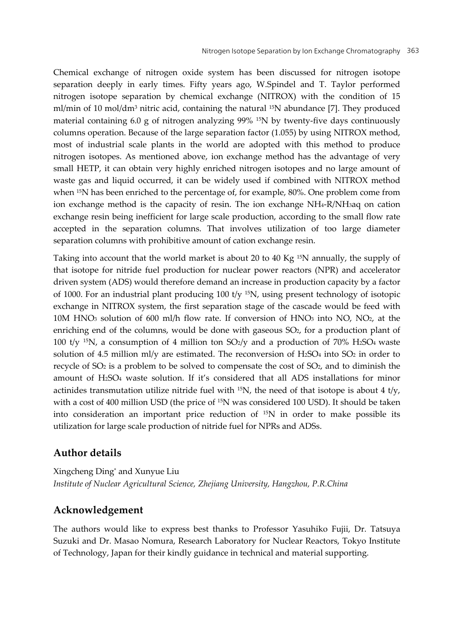Chemical exchange of nitrogen oxide system has been discussed for nitrogen isotope separation deeply in early times. Fifty years ago, W.Spindel and T. Taylor performed nitrogen isotope separation by chemical exchange (NITROX) with the condition of 15 ml/min of 10 mol/dm<sup>3</sup> nitric acid, containing the natural <sup>15</sup>N abundance [7]. They produced material containing 6.0 g of nitrogen analyzing  $99\%$  <sup>15</sup>N by twenty-five days continuously columns operation. Because of the large separation factor (1.055) by using NITROX method, most of industrial scale plants in the world are adopted with this method to produce nitrogen isotopes. As mentioned above, ion exchange method has the advantage of very small HETP, it can obtain very highly enriched nitrogen isotopes and no large amount of waste gas and liquid occurred, it can be widely used if combined with NITROX method when <sup>15</sup>N has been enriched to the percentage of, for example, 80%. One problem come from ion exchange method is the capacity of resin. The ion exchange NH4-R/NH3aq on cation exchange resin being inefficient for large scale production, according to the small flow rate accepted in the separation columns. That involves utilization of too large diameter separation columns with prohibitive amount of cation exchange resin.

Taking into account that the world market is about 20 to 40 Kg  $^{15}$ N annually, the supply of that isotope for nitride fuel production for nuclear power reactors (NPR) and accelerator driven system (ADS) would therefore demand an increase in production capacity by a factor of 1000. For an industrial plant producing 100 t/y 15N, using present technology of isotopic exchange in NITROX system, the first separation stage of the cascade would be feed with 10M HNO3 solution of 600 ml/h flow rate. If conversion of HNO3 into NO, NO2, at the enriching end of the columns, would be done with gaseous  $SO<sub>2</sub>$ , for a production plant of 100 t/y <sup>15</sup>N, a consumption of 4 million ton  $SO_2$ /y and a production of 70% H2SO<sub>4</sub> waste solution of 4.5 million ml/y are estimated. The reconversion of  $H<sub>2</sub>SO<sub>4</sub>$  into  $SO<sub>2</sub>$  in order to recycle of  $SO_2$  is a problem to be solved to compensate the cost of  $SO_2$ , and to diminish the amount of H2SO4 waste solution. If it's considered that all ADS installations for minor actinides transmutation utilize nitride fuel with  $15N$ , the need of that isotope is about 4 t/y, with a cost of 400 million USD (the price of 15N was considered 100 USD). It should be taken into consideration an important price reduction of 15N in order to make possible its utilization for large scale production of nitride fuel for NPRs and ADSs.

## **Author details**

Xingcheng Ding\* and Xunyue Liu *Institute of Nuclear Agricultural Science, Zhejiang University, Hangzhou, P.R.China* 

## **Acknowledgement**

The authors would like to express best thanks to Professor Yasuhiko Fujii, Dr. Tatsuya Suzuki and Dr. Masao Nomura, Research Laboratory for Nuclear Reactors, Tokyo Institute of Technology, Japan for their kindly guidance in technical and material supporting.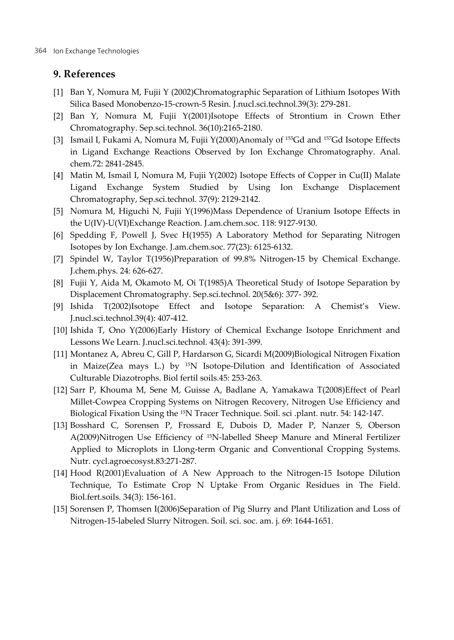## **9. References**

- [1] Ban Y, Nomura M, Fujii Y (2002)Chromatographic Separation of Lithium Isotopes With Silica Based Monobenzo-15-crown-5 Resin. J.nucl.sci.technol.39(3): 279-281.
- [2] Ban Y, Nomura M, Fujii Y(2001)Isotope Effects of Strontium in Crown Ether Chromatography. Sep.sci.technol. 36(10):2165-2180.
- [3] Ismail I, Fukami A, Nomura M, Fujii Y(2000)Anomaly of 155Gd and 157Gd Isotope Effects in Ligand Exchange Reactions Observed by Ion Exchange Chromatography. Anal. chem.72: 2841-2845.
- [4] Matin M, Ismail I, Nomura M, Fujii Y(2002) Isotope Effects of Copper in Cu(II) Malate Ligand Exchange System Studied by Using Ion Exchange Displacement Chromatography, Sep.sci.technol. 37(9): 2129-2142.
- [5] Nomura M, Higuchi N, Fujii Y(1996)Mass Dependence of Uranium Isotope Effects in the U(IV)-U(VI)Exchange Reaction. J.am.chem.soc. 118: 9127-9130.
- [6] Spedding F, Powell J, Svec H(1955) A Laboratory Method for Separating Nitrogen Isotopes by Ion Exchange. J.am.chem.soc. 77(23): 6125-6132.
- [7] Spindel W, Taylor T(1956)Preparation of 99.8% Nitrogen-15 by Chemical Exchange. J.chem.phys. 24: 626-627.
- [8] Fujii Y, Aida M, Okamoto M, Oi T(1985)A Theoretical Study of Isotope Separation by Displacement Chromatography. Sep.sci.technol. 20(5&6): 377- 392.
- [9] Ishida T(2002)Isotope Effect and Isotope Separation: A Chemist's View. J.nucl.sci.technol.39(4): 407-412.
- [10] Ishida T, Ono Y(2006)Early History of Chemical Exchange Isotope Enrichment and Lessons We Learn. J.nucl.sci.technol. 43(4): 391-399.
- [11] Montanez A, Abreu C, Gill P, Hardarson G, Sicardi M(2009)Biological Nitrogen Fixation in Maize(Zea mays L.) by 15N Isotope-Dilution and Identification of Associated Culturable Diazotrophs. Biol fertil soils.45: 253-263.
- [12] Sarr P, Khouma M, Sene M, Guisse A, Badlane A, Yamakawa T(2008)Effect of Pearl Millet-Cowpea Cropping Systems on Nitrogen Recovery, Nitrogen Use Efficiency and Biological Fixation Using the 15N Tracer Technique. Soil. sci .plant. nutr. 54: 142-147.
- [13] Bosshard C, Sorensen P, Frossard E, Dubois D, Mader P, Nanzer S, Oberson A(2009)Nitrogen Use Efficiency of 15N-labelled Sheep Manure and Mineral Fertilizer Applied to Microplots in Llong-term Organic and Conventional Cropping Systems. Nutr. cycl.agroecosyst.83:271-287.
- [14] Hood R(2001)Evaluation of A New Approach to the Nitrogen-15 Isotope Dilution Technique, To Estimate Crop N Uptake From Organic Residues in The Field. Biol.fert.soils. 34(3): 156-161.
- [15] Sorensen P, Thomsen I(2006)Separation of Pig Slurry and Plant Utilization and Loss of Nitrogen-15-labeled Slurry Nitrogen. Soil. sci. soc. am. j. 69: 1644-1651.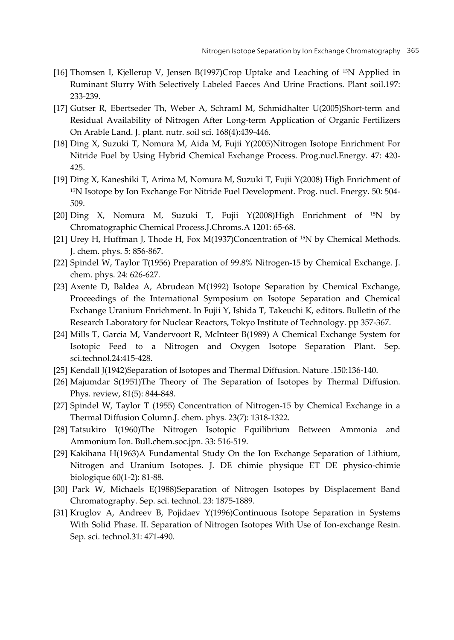- [16] Thomsen I, Kjellerup V, Jensen B(1997)Crop Uptake and Leaching of 15N Applied in Ruminant Slurry With Selectively Labeled Faeces And Urine Fractions. Plant soil.197: 233-239.
- [17] Gutser R, Ebertseder Th, Weber A, Schraml M, Schmidhalter U(2005)Short-term and Residual Availability of Nitrogen After Long-term Application of Organic Fertilizers On Arable Land. J. plant. nutr. soil sci. 168(4):439-446.
- [18] Ding X, Suzuki T, Nomura M, Aida M, Fujii Y(2005)Nitrogen Isotope Enrichment For Nitride Fuel by Using Hybrid Chemical Exchange Process. Prog.nucl.Energy. 47: 420- 425.
- [19] Ding X, Kaneshiki T, Arima M, Nomura M, Suzuki T, Fujii Y(2008) High Enrichment of <sup>15</sup>N Isotope by Ion Exchange For Nitride Fuel Development. Prog. nucl. Energy. 50: 504-509.
- [20] Ding X, Nomura M, Suzuki T, Fujii Y(2008)High Enrichment of 15N by Chromatographic Chemical Process.J.Chroms.A 1201: 65-68.
- [21] Urey H, Huffman J, Thode H, Fox M(1937)Concentration of  $^{15}N$  by Chemical Methods. J. chem. phys. 5: 856-867.
- [22] Spindel W, Taylor T(1956) Preparation of 99.8% Nitrogen-15 by Chemical Exchange. J. chem. phys. 24: 626-627.
- [23] Axente D, Baldea A, Abrudean M(1992) Isotope Separation by Chemical Exchange, Proceedings of the International Symposium on Isotope Separation and Chemical Exchange Uranium Enrichment. In Fujii Y, Ishida T, Takeuchi K, editors. Bulletin of the Research Laboratory for Nuclear Reactors, Tokyo Institute of Technology. pp 357-367.
- [24] Mills T, Garcia M, Vandervoort R, McInteer B(1989) A Chemical Exchange System for Isotopic Feed to a Nitrogen and Oxygen Isotope Separation Plant. Sep. sci.technol.24:415-428.
- [25] Kendall J(1942)Separation of Isotopes and Thermal Diffusion. Nature .150:136-140.
- [26] Majumdar S(1951)The Theory of The Separation of Isotopes by Thermal Diffusion. Phys. review, 81(5): 844-848.
- [27] Spindel W, Taylor T (1955) Concentration of Nitrogen-15 by Chemical Exchange in a Thermal Diffusion Column.J. chem. phys. 23(7): 1318-1322.
- [28] Tatsukiro I(1960)The Nitrogen Isotopic Equilibrium Between Ammonia and Ammonium Ion. Bull.chem.soc.jpn. 33: 516-519.
- [29] Kakihana H(1963)A Fundamental Study On the Ion Exchange Separation of Lithium, Nitrogen and Uranium Isotopes. J. DE chimie physique ET DE physico-chimie biologique 60(1-2): 81-88.
- [30] Park W, Michaels E(1988)Separation of Nitrogen Isotopes by Displacement Band Chromatography. Sep. sci. technol. 23: 1875-1889.
- [31] Kruglov A, Andreev B, Pojidaev Y(1996)Continuous Isotope Separation in Systems With Solid Phase. II. Separation of Nitrogen Isotopes With Use of Ion-exchange Resin. Sep. sci. technol.31: 471-490.